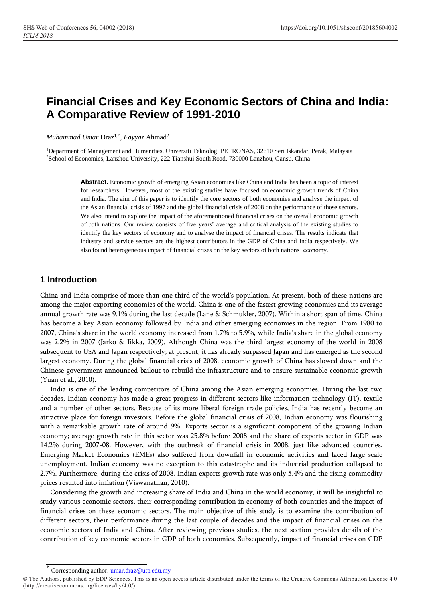# **Financial Crises and Key Economic Sectors of China and India: A Comparative Review of 1991-2010**

*Muhammad Umar* Draz1,\* , *Fayyaz* Ahmad<sup>2</sup>

<sup>1</sup>Department of Management and Humanities, Universiti Teknologi PETRONAS, 32610 Seri Iskandar, Perak, Malaysia <sup>2</sup>School of Economics, Lanzhou University, 222 Tianshui South Road, 730000 Lanzhou, Gansu, China

> **Abstract.** Economic growth of emerging Asian economies like China and India has been a topic of interest for researchers. However, most of the existing studies have focused on economic growth trends of China and India. The aim of this paper is to identify the core sectors of both economies and analyse the impact of the Asian financial crisis of 1997 and the global financial crisis of 2008 on the performance of those sectors. We also intend to explore the impact of the aforementioned financial crises on the overall economic growth of both nations. Our review consists of five years' average and critical analysis of the existing studies to identify the key sectors of economy and to analyse the impact of financial crises. The results indicate that industry and service sectors are the highest contributors in the GDP of China and India respectively. We also found heterogeneous impact of financial crises on the key sectors of both nations' economy.

# **1 Introduction**

China and India comprise of more than one third of the world's population. At present, both of these nations are among the major exporting economies of the world. China is one of the fastest growing economies and its average annual growth rate was 9.1% during the last decade (Lane & Schmukler, 2007). Within a short span of time, China has become a key Asian economy followed by India and other emerging economies in the region. From 1980 to 2007, China's share in the world economy increased from 1.7% to 5.9%, while India's share in the global economy was 2.2% in 2007 (Jarko & Iikka, 2009). Although China was the third largest economy of the world in 2008 subsequent to USA and Japan respectively; at present, it has already surpassed Japan and has emerged as the second largest economy. During the global financial crisis of 2008, economic growth of China has slowed down and the Chinese government announced bailout to rebuild the infrastructure and to ensure sustainable economic growth (Yuan et al., 2010).

India is one of the leading competitors of China among the Asian emerging economies. During the last two decades, Indian economy has made a great progress in different sectors like information technology (IT), textile and a number of other sectors. Because of its more liberal foreign trade policies, India has recently become an attractive place for foreign investors. Before the global financial crisis of 2008, Indian economy was flourishing with a remarkable growth rate of around 9%. Exports sector is a significant component of the growing Indian economy; average growth rate in this sector was 25.8% before 2008 and the share of exports sector in GDP was 14.2% during 2007-08. However, with the outbreak of financial crisis in 2008, just like advanced countries, Emerging Market Economies (EMEs) also suffered from downfall in economic activities and faced large scale unemployment. Indian economy was no exception to this catastrophe and its industrial production collapsed to 2.7%. Furthermore, during the crisis of 2008, Indian exports growth rate was only 5.4% and the rising commodity prices resulted into inflation (Viswanathan, 2010).

Considering the growth and increasing share of India and China in the world economy, it will be insightful to study various economic sectors, their corresponding contribution in economy of both countries and the impact of financial crises on these economic sectors. The main objective of this study is to examine the contribution of different sectors, their performance during the last couple of decades and the impact of financial crises on the economic sectors of India and China. After reviewing previous studies, the next section provides details of the contribution of key economic sectors in GDP of both economies. Subsequently, impact of financial crises on GDP

Corresponding author[: umar.draz@utp.edu.my](mailto:umar.draz@utp.edu.my)

<sup>©</sup> The Authors, published by EDP Sciences. This is an open access article distributed under the terms of the Creative Commons Attribution License 4.0 (http://creativecommons.org/licenses/by/4.0/).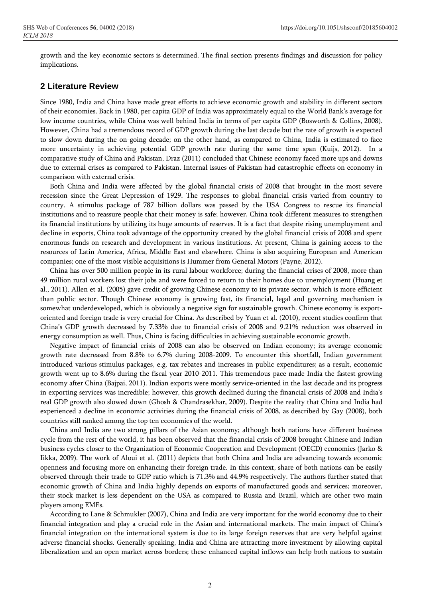growth and the key economic sectors is determined. The final section presents findings and discussion for policy implications.

#### **2 Literature Review**

Since 1980, India and China have made great efforts to achieve economic growth and stability in different sectors of their economies. Back in 1980, per capita GDP of India was approximately equal to the World Bank's average for low income countries, while China was well behind India in terms of per capita GDP (Bosworth & Collins, 2008). However, China had a tremendous record of GDP growth during the last decade but the rate of growth is expected to slow down during the on-going decade; on the other hand, as compared to China, India is estimated to face more uncertainty in achieving potential GDP growth rate during the same time span (Kuijs, 2012). In a comparative study of China and Pakistan, Draz (2011) concluded that Chinese economy faced more ups and downs due to external crises as compared to Pakistan. Internal issues of Pakistan had catastrophic effects on economy in comparison with external crisis.

Both China and India were affected by the global financial crisis of 2008 that brought in the most severe recession since the Great Depression of 1929. The responses to global financial crisis varied from country to country. A stimulus package of 787 billion dollars was passed by the USA Congress to rescue its financial institutions and to reassure people that their money is safe; however, China took different measures to strengthen its financial institutions by utilizing its huge amounts of reserves. It is a fact that despite rising unemployment and decline in exports, China took advantage of the opportunity created by the global financial crisis of 2008 and spent enormous funds on research and development in various institutions. At present, China is gaining access to the resources of Latin America, Africa, Middle East and elsewhere. China is also acquiring European and American companies; one of the most visible acquisitions is Hummer from General Motors (Payne, 2012).

China has over 500 million people in its rural labour workforce; during the financial crises of 2008, more than 49 million rural workers lost their jobs and were forced to return to their homes due to unemployment (Huang et al., 2011). Allen et al. (2005) gave credit of growing Chinese economy to its private sector, which is more efficient than public sector. Though Chinese economy is growing fast, its financial, legal and governing mechanism is somewhat underdeveloped, which is obviously a negative sign for sustainable growth. Chinese economy is exportoriented and foreign trade is very crucial for China. As described by Yuan et al. (2010), recent studies confirm that China's GDP growth decreased by 7.33% due to financial crisis of 2008 and 9.21% reduction was observed in energy consumption as well. Thus, China is facing difficulties in achieving sustainable economic growth.

Negative impact of financial crisis of 2008 can also be observed on Indian economy; its average economic growth rate decreased from 8.8% to 6.7% during 2008-2009. To encounter this shortfall, Indian government introduced various stimulus packages, e.g. tax rebates and increases in public expenditures; as a result, economic growth went up to 8.6% during the fiscal year 2010-2011. This tremendous pace made India the fastest growing economy after China (Bajpai, 2011). Indian exports were mostly service-oriented in the last decade and its progress in exporting services was incredible; however, this growth declined during the financial crisis of 2008 and India's real GDP growth also slowed down (Ghosh & Chandrasekhar, 2009). Despite the reality that China and India had experienced a decline in economic activities during the financial crisis of 2008, as described by Gay (2008), both countries still ranked among the top ten economies of the world.

China and India are two strong pillars of the Asian economy; although both nations have different business cycle from the rest of the world, it has been observed that the financial crisis of 2008 brought Chinese and Indian business cycles closer to the Organization of Economic Cooperation and Development (OECD) economies (Jarko & Iikka, 2009). The work of Aloui et al. (2011) depicts that both China and India are advancing towards economic openness and focusing more on enhancing their foreign trade. In this context, share of both nations can be easily observed through their trade to GDP ratio which is 71.3% and 44.9% respectively. The authors further stated that economic growth of China and India highly depends on exports of manufactured goods and services; moreover, their stock market is less dependent on the USA as compared to Russia and Brazil, which are other two main players among EMEs.

According to Lane & Schmukler (2007), China and India are very important for the world economy due to their financial integration and play a crucial role in the Asian and international markets. The main impact of China's financial integration on the international system is due to its large foreign reserves that are very helpful against adverse financial shocks. Generally speaking, India and China are attracting more investment by allowing capital liberalization and an open market across borders; these enhanced capital inflows can help both nations to sustain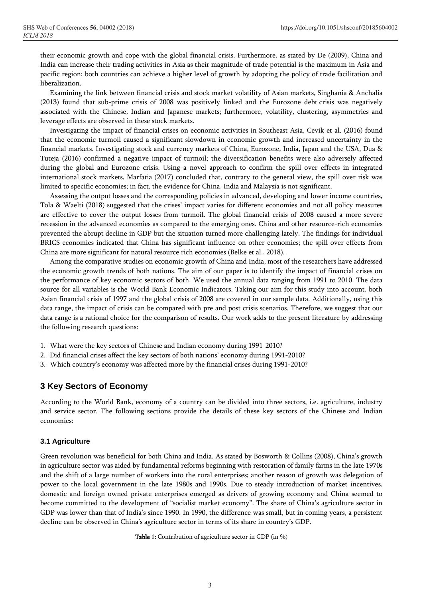their economic growth and cope with the global financial crisis. Furthermore, as stated by De (2009), China and India can increase their trading activities in Asia as their magnitude of trade potential is the maximum in Asia and pacific region; both countries can achieve a higher level of growth by adopting the policy of trade facilitation and liberalization.

Examining the link between financial crisis and stock market volatility of Asian markets, Singhania & Anchalia (2013) found that sub-prime crisis of 2008 was positively linked and the Eurozone debt crisis was negatively associated with the Chinese, Indian and Japanese markets; furthermore, volatility, clustering, asymmetries and leverage effects are observed in these stock markets.

Investigating the impact of financial crises on economic activities in Southeast Asia, Cevik et al. (2016) found that the economic turmoil caused a significant slowdown in economic growth and increased uncertainty in the financial markets. Investigating stock and currency markets of China, Eurozone, India, Japan and the USA, Dua & Tuteja (2016) confirmed a negative impact of turmoil; the diversification benefits were also adversely affected during the global and Eurozone crisis. Using a novel approach to confirm the spill over effects in integrated international stock markets, Marfatia (2017) concluded that, contrary to the general view, the spill over risk was limited to specific economies; in fact, the evidence for China, India and Malaysia is not significant.

Assessing the output losses and the corresponding policies in advanced, developing and lower income countries, Tola & Waelti (2018) suggested that the crises' impact varies for different economies and not all policy measures are effective to cover the output losses from turmoil. The global financial crisis of 2008 caused a more severe recession in the advanced economies as compared to the emerging ones. China and other resource-rich economies prevented the abrupt decline in GDP but the situation turned more challenging lately. The findings for individual BRICS economies indicated that China has significant influence on other economies; the spill over effects from China are more significant for natural resource rich economies (Belke et al., 2018).

Among the comparative studies on economic growth of China and India, most of the researchers have addressed the economic growth trends of both nations. The aim of our paper is to identify the impact of financial crises on the performance of key economic sectors of both. We used the annual data ranging from 1991 to 2010. The data source for all variables is the World Bank Economic Indicators. Taking our aim for this study into account, both Asian financial crisis of 1997 and the global crisis of 2008 are covered in our sample data. Additionally, using this data range, the impact of crisis can be compared with pre and post crisis scenarios. Therefore, we suggest that our data range is a rational choice for the comparison of results. Our work adds to the present literature by addressing the following research questions:

- 1. What were the key sectors of Chinese and Indian economy during 1991-2010?
- 2. Did financial crises affect the key sectors of both nations' economy during 1991-2010?
- 3. Which country's economy was affected more by the financial crises during 1991-2010?

#### **3 Key Sectors of Economy**

According to the World Bank, economy of a country can be divided into three sectors, i.e. agriculture, industry and service sector. The following sections provide the details of these key sectors of the Chinese and Indian economies:

#### **3.1 Agriculture**

Green revolution was beneficial for both China and India. As stated by Bosworth & Collins (2008), China's growth in agriculture sector was aided by fundamental reforms beginning with restoration of family farms in the late 1970s and the shift of a large number of workers into the rural enterprises; another reason of growth was delegation of power to the local government in the late 1980s and 1990s. Due to steady introduction of market incentives, domestic and foreign owned private enterprises emerged as drivers of growing economy and China seemed to become committed to the development of "socialist market economy". The share of China's agriculture sector in GDP was lower than that of India's since 1990. In 1990, the difference was small, but in coming years, a persistent decline can be observed in China's agriculture sector in terms of its share in country's GDP.

Table 1: Contribution of agriculture sector in GDP (in %)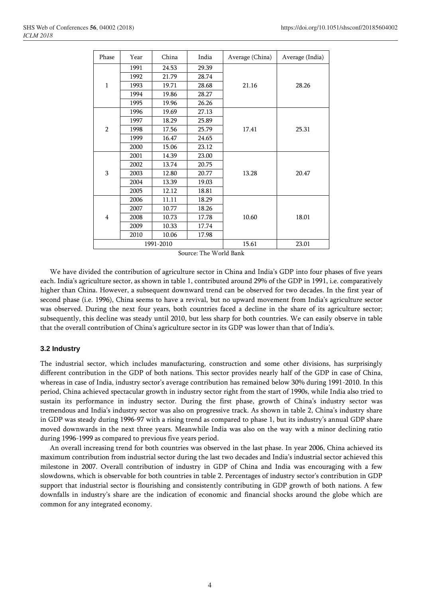| Phase          | Year | China | India | Average (China) | Average (India) |
|----------------|------|-------|-------|-----------------|-----------------|
| $\mathbf{1}$   | 1991 | 24.53 | 29.39 |                 |                 |
|                | 1992 | 21.79 | 28.74 |                 |                 |
|                | 1993 | 19.71 | 28.68 | 21.16           | 28.26           |
|                | 1994 | 19.86 | 28.27 |                 |                 |
|                | 1995 | 19.96 | 26.26 |                 |                 |
| $\overline{2}$ | 1996 | 19.69 | 27.13 | 17.41           | 25.31           |
|                | 1997 | 18.29 | 25.89 |                 |                 |
|                | 1998 | 17.56 | 25.79 |                 |                 |
|                | 1999 | 16.47 | 24.65 |                 |                 |
|                | 2000 | 15.06 | 23.12 |                 |                 |
|                | 2001 | 14.39 | 23.00 | 13.28           | 20.47           |
| 3              | 2002 | 13.74 | 20.75 |                 |                 |
|                | 2003 | 12.80 | 20.77 |                 |                 |
|                | 2004 | 13.39 | 19.03 |                 |                 |
|                | 2005 | 12.12 | 18.81 |                 |                 |
| $\overline{4}$ | 2006 | 11.11 | 18.29 |                 |                 |
|                | 2007 | 10.77 | 18.26 |                 |                 |
|                | 2008 | 10.73 | 17.78 | 10.60           | 18.01           |
|                | 2009 | 10.33 | 17.74 |                 |                 |
|                | 2010 | 10.06 | 17.98 |                 |                 |
| 1991-2010      |      |       |       | 15.61           | 23.01           |

Source: The World Bank

We have divided the contribution of agriculture sector in China and India's GDP into four phases of five years each. India's agriculture sector, as shown in table 1, contributed around 29% of the GDP in 1991, i.e. comparatively higher than China. However, a subsequent downward trend can be observed for two decades. In the first year of second phase (i.e. 1996), China seems to have a revival, but no upward movement from India's agriculture sector was observed. During the next four years, both countries faced a decline in the share of its agriculture sector; subsequently, this decline was steady until 2010, but less sharp for both countries. We can easily observe in table that the overall contribution of China's agriculture sector in its GDP was lower than that of India's.

#### **3.2 Industry**

The industrial sector, which includes manufacturing, construction and some other divisions, has surprisingly different contribution in the GDP of both nations. This sector provides nearly half of the GDP in case of China, whereas in case of India, industry sector's average contribution has remained below 30% during 1991-2010. In this period, China achieved spectacular growth in industry sector right from the start of 1990s, while India also tried to sustain its performance in industry sector. During the first phase, growth of China's industry sector was tremendous and India's industry sector was also on progressive track. As shown in table 2, China's industry share in GDP was steady during 1996-97 with a rising trend as compared to phase 1, but its industry's annual GDP share moved downwards in the next three years. Meanwhile India was also on the way with a minor declining ratio during 1996-1999 as compared to previous five years period.

An overall increasing trend for both countries was observed in the last phase. In year 2006, China achieved its maximum contribution from industrial sector during the last two decades and India's industrial sector achieved this milestone in 2007. Overall contribution of industry in GDP of China and India was encouraging with a few slowdowns, which is observable for both countries in table 2. Percentages of industry sector's contribution in GDP support that industrial sector is flourishing and consistently contributing in GDP growth of both nations. A few downfalls in industry's share are the indication of economic and financial shocks around the globe which are common for any integrated economy.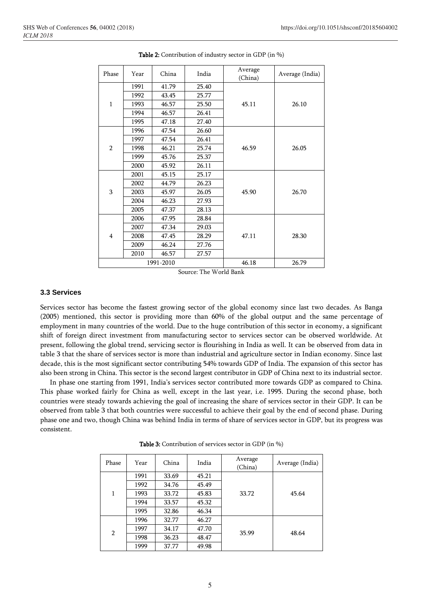| Phase          | Year | China | India | Average<br>(China) | Average (India) |
|----------------|------|-------|-------|--------------------|-----------------|
| $\mathbf{1}$   | 1991 | 41.79 | 25.40 | 45.11              | 26.10           |
|                | 1992 | 43.45 | 25.77 |                    |                 |
|                | 1993 | 46.57 | 25.50 |                    |                 |
|                | 1994 | 46.57 | 26.41 |                    |                 |
|                | 1995 | 47.18 | 27.40 |                    |                 |
|                | 1996 | 47.54 | 26.60 | 46.59              | 26.05           |
| $\overline{2}$ | 1997 | 47.54 | 26.41 |                    |                 |
|                | 1998 | 46.21 | 25.74 |                    |                 |
|                | 1999 | 45.76 | 25.37 |                    |                 |
|                | 2000 | 45.92 | 26.11 |                    |                 |
| 3              | 2001 | 45.15 | 25.17 | 45.90              | 26.70           |
|                | 2002 | 44.79 | 26.23 |                    |                 |
|                | 2003 | 45.97 | 26.05 |                    |                 |
|                | 2004 | 46.23 | 27.93 |                    |                 |
|                | 2005 | 47.37 | 28.13 |                    |                 |
| 4              | 2006 | 47.95 | 28.84 |                    |                 |
|                | 2007 | 47.34 | 29.03 |                    |                 |
|                | 2008 | 47.45 | 28.29 | 47.11              | 28.30           |
|                | 2009 | 46.24 | 27.76 |                    |                 |
|                | 2010 | 46.57 | 27.57 |                    |                 |
| 1991-2010      |      |       |       | 46.18              | 26.79           |

Table 2: Contribution of industry sector in GDP (in %)

Source: The World Bank

#### **3.3 Services**

Services sector has become the fastest growing sector of the global economy since last two decades. As Banga (2005) mentioned, this sector is providing more than 60% of the global output and the same percentage of employment in many countries of the world. Due to the huge contribution of this sector in economy, a significant shift of foreign direct investment from manufacturing sector to services sector can be observed worldwide. At present, following the global trend, servicing sector is flourishing in India as well. It can be observed from data in table 3 that the share of services sector is more than industrial and agriculture sector in Indian economy. Since last decade, this is the most significant sector contributing 54% towards GDP of India. The expansion of this sector has also been strong in China. This sector is the second largest contributor in GDP of China next to its industrial sector.

In phase one starting from 1991, India's services sector contributed more towards GDP as compared to China. This phase worked fairly for China as well, except in the last year, i.e. 1995. During the second phase, both countries were steady towards achieving the goal of increasing the share of services sector in their GDP. It can be observed from table 3 that both countries were successful to achieve their goal by the end of second phase. During phase one and two, though China was behind India in terms of share of services sector in GDP, but its progress was consistent.

| Phase          | Year | China | India | Average<br>(China) | Average (India) |
|----------------|------|-------|-------|--------------------|-----------------|
| 1              | 1991 | 33.69 | 45.21 | 33.72              | 45.64           |
|                | 1992 | 34.76 | 45.49 |                    |                 |
|                | 1993 | 33.72 | 45.83 |                    |                 |
|                | 1994 | 33.57 | 45.32 |                    |                 |
|                | 1995 | 32.86 | 46.34 |                    |                 |
| $\overline{2}$ | 1996 | 32.77 | 46.27 | 35.99              | 48.64           |
|                | 1997 | 34.17 | 47.70 |                    |                 |
|                | 1998 | 36.23 | 48.47 |                    |                 |
|                | 1999 | 37.77 | 49.98 |                    |                 |

Table 3: Contribution of services sector in GDP (in %)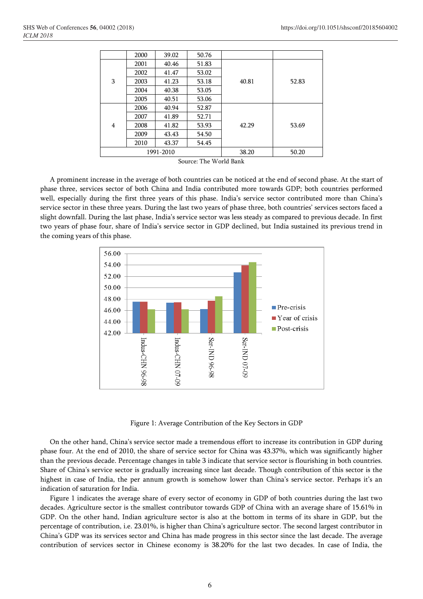|           | 2000 | 39.02 | 50.76 |       |       |
|-----------|------|-------|-------|-------|-------|
| 3         | 2001 | 40.46 | 51.83 |       |       |
|           | 2002 | 41.47 | 53.02 |       |       |
|           | 2003 | 41.23 | 53.18 | 40.81 | 52.83 |
|           | 2004 | 40.38 | 53.05 |       |       |
|           | 2005 | 40.51 | 53.06 |       |       |
| 4         | 2006 | 40.94 | 52.87 |       |       |
|           | 2007 | 41.89 | 52.71 |       |       |
|           | 2008 | 41.82 | 53.93 | 42.29 | 53.69 |
|           | 2009 | 43.43 | 54.50 |       |       |
|           | 2010 | 43.37 | 54.45 |       |       |
| 1991-2010 |      |       | 38.20 | 50.20 |       |

Source: The World Bank

A prominent increase in the average of both countries can be noticed at the end of second phase. At the start of phase three, services sector of both China and India contributed more towards GDP; both countries performed well, especially during the first three years of this phase. India's service sector contributed more than China's service sector in these three years. During the last two years of phase three, both countries' services sectors faced a slight downfall. During the last phase, India's service sector was less steady as compared to previous decade. In first two years of phase four, share of India's service sector in GDP declined, but India sustained its previous trend in the coming years of this phase.



Figure 1: Average Contribution of the Key Sectors in GDP

On the other hand, China's service sector made a tremendous effort to increase its contribution in GDP during phase four. At the end of 2010, the share of service sector for China was 43.37%, which was significantly higher than the previous decade. Percentage changes in table 3 indicate that service sector is flourishing in both countries. Share of China's service sector is gradually increasing since last decade. Though contribution of this sector is the highest in case of India, the per annum growth is somehow lower than China's service sector. Perhaps it's an indication of saturation for India.

Figure 1 indicates the average share of every sector of economy in GDP of both countries during the last two decades. Agriculture sector is the smallest contributor towards GDP of China with an average share of 15.61% in GDP. On the other hand, Indian agriculture sector is also at the bottom in terms of its share in GDP, but the percentage of contribution, i.e. 23.01%, is higher than China's agriculture sector. The second largest contributor in China's GDP was its services sector and China has made progress in this sector since the last decade. The average contribution of services sector in Chinese economy is 38.20% for the last two decades. In case of India, the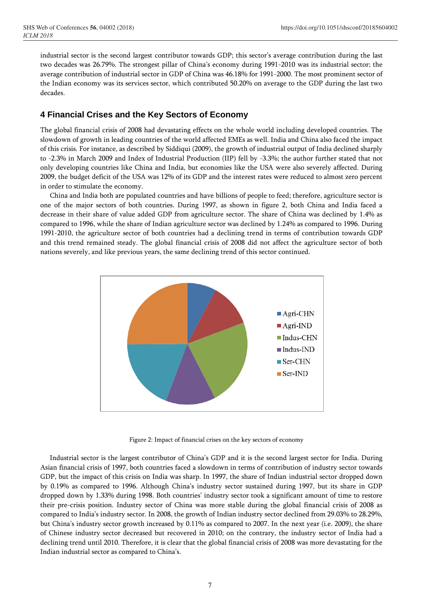industrial sector is the second largest contributor towards GDP; this sector's average contribution during the last two decades was 26.79%. The strongest pillar of China's economy during 1991-2010 was its industrial sector; the average contribution of industrial sector in GDP of China was 46.18% for 1991-2000. The most prominent sector of the Indian economy was its services sector, which contributed 50.20% on average to the GDP during the last two decades.

# **4 Financial Crises and the Key Sectors of Economy**

The global financial crisis of 2008 had devastating effects on the whole world including developed countries. The slowdown of growth in leading countries of the world affected EMEs as well. India and China also faced the impact of this crisis. For instance, as described by Siddiqui (2009), the growth of industrial output of India declined sharply to -2.3% in March 2009 and Index of Industrial Production (IIP) fell by -3.3%; the author further stated that not only developing countries like China and India, but economies like the USA were also severely affected. During 2009, the budget deficit of the USA was 12% of its GDP and the interest rates were reduced to almost zero percent in order to stimulate the economy.

China and India both are populated countries and have billions of people to feed; therefore, agriculture sector is one of the major sectors of both countries. During 1997, as shown in figure 2, both China and India faced a decrease in their share of value added GDP from agriculture sector. The share of China was declined by 1.4% as compared to 1996, while the share of Indian agriculture sector was declined by 1.24% as compared to 1996. During 1991-2010, the agriculture sector of both countries had a declining trend in terms of contribution towards GDP and this trend remained steady. The global financial crisis of 2008 did not affect the agriculture sector of both nations severely, and like previous years, the same declining trend of this sector continued.



Figure 2: Impact of financial crises on the key sectors of economy

Industrial sector is the largest contributor of China's GDP and it is the second largest sector for India. During Asian financial crisis of 1997, both countries faced a slowdown in terms of contribution of industry sector towards GDP, but the impact of this crisis on India was sharp. In 1997, the share of Indian industrial sector dropped down by 0.19% as compared to 1996. Although China's industry sector sustained during 1997, but its share in GDP dropped down by 1.33% during 1998. Both countries' industry sector took a significant amount of time to restore their pre-crisis position. Industry sector of China was more stable during the global financial crisis of 2008 as compared to India's industry sector. In 2008, the growth of Indian industry sector declined from 29.03% to 28.29%, but China's industry sector growth increased by 0.11% as compared to 2007. In the next year (i.e. 2009), the share of Chinese industry sector decreased but recovered in 2010; on the contrary, the industry sector of India had a declining trend until 2010. Therefore, it is clear that the global financial crisis of 2008 was more devastating for the Indian industrial sector as compared to China's.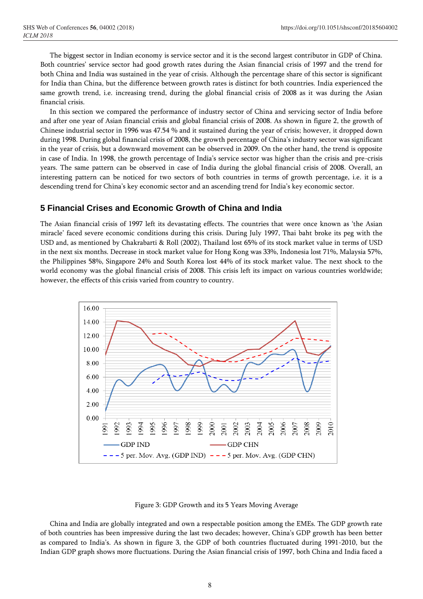The biggest sector in Indian economy is service sector and it is the second largest contributor in GDP of China. Both countries' service sector had good growth rates during the Asian financial crisis of 1997 and the trend for both China and India was sustained in the year of crisis. Although the percentage share of this sector is significant for India than China, but the difference between growth rates is distinct for both countries. India experienced the same growth trend, i.e. increasing trend, during the global financial crisis of 2008 as it was during the Asian financial crisis.

In this section we compared the performance of industry sector of China and servicing sector of India before and after one year of Asian financial crisis and global financial crisis of 2008. As shown in figure 2, the growth of Chinese industrial sector in 1996 was 47.54 % and it sustained during the year of crisis; however, it dropped down during 1998. During global financial crisis of 2008, the growth percentage of China's industry sector was significant in the year of crisis, but a downward movement can be observed in 2009. On the other hand, the trend is opposite in case of India. In 1998, the growth percentage of India's service sector was higher than the crisis and pre-crisis years. The same pattern can be observed in case of India during the global financial crisis of 2008. Overall, an interesting pattern can be noticed for two sectors of both countries in terms of growth percentage, i.e. it is a descending trend for China's key economic sector and an ascending trend for India's key economic sector.

### **5 Financial Crises and Economic Growth of China and India**

The Asian financial crisis of 1997 left its devastating effects. The countries that were once known as 'the Asian miracle' faced severe economic conditions during this crisis. During July 1997, Thai baht broke its peg with the USD and, as mentioned by Chakrabarti & Roll (2002), Thailand lost 65% of its stock market value in terms of USD in the next six months. Decrease in stock market value for Hong Kong was 33%, Indonesia lost 71%, Malaysia 57%, the Philippines 58%, Singapore 24% and South Korea lost 44% of its stock market value. The next shock to the world economy was the global financial crisis of 2008. This crisis left its impact on various countries worldwide; however, the effects of this crisis varied from country to country.



#### Figure 3: GDP Growth and its 5 Years Moving Average

China and India are globally integrated and own a respectable position among the EMEs. The GDP growth rate of both countries has been impressive during the last two decades; however, China's GDP growth has been better as compared to India's. As shown in figure 3, the GDP of both countries fluctuated during 1991-2010, but the Indian GDP graph shows more fluctuations. During the Asian financial crisis of 1997, both China and India faced a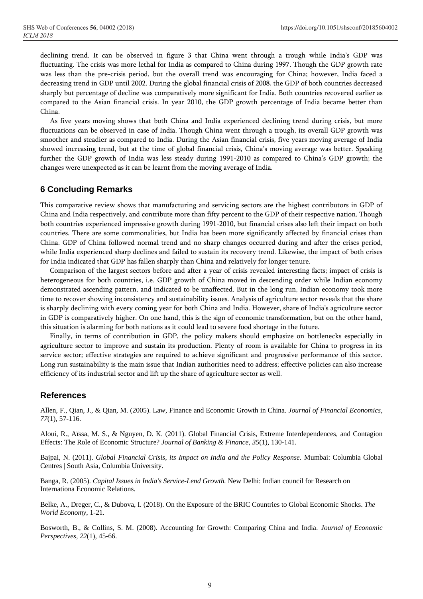declining trend. It can be observed in figure 3 that China went through a trough while India's GDP was fluctuating. The crisis was more lethal for India as compared to China during 1997. Though the GDP growth rate was less than the pre-crisis period, but the overall trend was encouraging for China; however, India faced a decreasing trend in GDP until 2002. During the global financial crisis of 2008, the GDP of both countries decreased sharply but percentage of decline was comparatively more significant for India. Both countries recovered earlier as compared to the Asian financial crisis. In year 2010, the GDP growth percentage of India became better than China.

As five years moving shows that both China and India experienced declining trend during crisis, but more fluctuations can be observed in case of India. Though China went through a trough, its overall GDP growth was smoother and steadier as compared to India. During the Asian financial crisis, five years moving average of India showed increasing trend, but at the time of global financial crisis, China's moving average was better. Speaking further the GDP growth of India was less steady during 1991-2010 as compared to China's GDP growth; the changes were unexpected as it can be learnt from the moving average of India.

# **6 Concluding Remarks**

This comparative review shows that manufacturing and servicing sectors are the highest contributors in GDP of China and India respectively, and contribute more than fifty percent to the GDP of their respective nation. Though both countries experienced impressive growth during 1991-2010, but financial crises also left their impact on both countries. There are some commonalities, but India has been more significantly affected by financial crises than China. GDP of China followed normal trend and no sharp changes occurred during and after the crises period, while India experienced sharp declines and failed to sustain its recovery trend. Likewise, the impact of both crises for India indicated that GDP has fallen sharply than China and relatively for longer tenure.

Comparison of the largest sectors before and after a year of crisis revealed interesting facts; impact of crisis is heterogeneous for both countries, i.e. GDP growth of China moved in descending order while Indian economy demonstrated ascending pattern, and indicated to be unaffected. But in the long run, Indian economy took more time to recover showing inconsistency and sustainability issues. Analysis of agriculture sector reveals that the share is sharply declining with every coming year for both China and India. However, share of India's agriculture sector in GDP is comparatively higher. On one hand, this is the sign of economic transformation, but on the other hand, this situation is alarming for both nations as it could lead to severe food shortage in the future.

Finally, in terms of contribution in GDP, the policy makers should emphasize on bottlenecks especially in agriculture sector to improve and sustain its production. Plenty of room is available for China to progress in its service sector; effective strategies are required to achieve significant and progressive performance of this sector. Long run sustainability is the main issue that Indian authorities need to address; effective policies can also increase efficiency of its industrial sector and lift up the share of agriculture sector as well.

# **References**

Allen, F., Qian, J., & Qian, M. (2005). Law, Finance and Economic Growth in China. *Journal of Financial Economics, 77*(1), 57-116.

Aloui, R., Aïssa, M. S., & Nguyen, D. K. (2011). Global Financial Crisis, Extreme Interdependences, and Contagion Effects: The Role of Economic Structure? *Journal of Banking & Finance*, *35*(1), 130-141.

Bajpai, N. (2011). *Global Financial Crisis, its Impact on India and the Policy Response.* Mumbai: Columbia Global Centres | South Asia, Columbia University.

Banga, R. (2005). *Capital Issues in India's Service-Lend Growth.* New Delhi: Indian council for Research on Internationa Economic Relations.

Belke, A., Dreger, C., & Dubova, I. (2018). On the Exposure of the BRIC Countries to Global Economic Shocks. *The World Economy*, 1-21.

Bosworth, B., & Collins, S. M. (2008). Accounting for Growth: Comparing China and India. *Journal of Economic Perspectives*, *22*(1), 45-66.